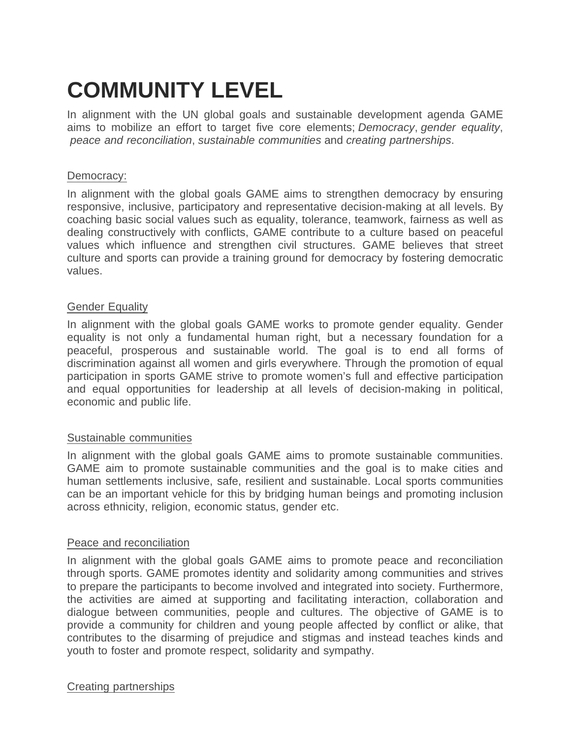# **COMMUNITY LEVEL**

In alignment with the UN global goals and sustainable development agenda GAME aims to mobilize an effort to target five core elements; *Democracy*, *gender equality*,  *peace and reconciliation*, *sustainable communities* and *creating partnerships*.

## Democracy:

In alignment with the global goals GAME aims to strengthen democracy by ensuring responsive, inclusive, participatory and representative decision-making at all levels. By coaching basic social values such as equality, tolerance, teamwork, fairness as well as dealing constructively with conflicts, GAME contribute to a culture based on peaceful values which influence and strengthen civil structures. GAME believes that street culture and sports can provide a training ground for democracy by fostering democratic values.

### Gender Equality

In alignment with the global goals GAME works to promote gender equality. Gender equality is not only a fundamental human right, but a necessary foundation for a peaceful, prosperous and sustainable world. The goal is to end all forms of discrimination against all women and girls everywhere. Through the promotion of equal participation in sports GAME strive to promote women's full and effective participation and equal opportunities for leadership at all levels of decision-making in political, economic and public life.

## Sustainable communities

In alignment with the global goals GAME aims to promote sustainable communities. GAME aim to promote sustainable communities and the goal is to make cities and human settlements inclusive, safe, resilient and sustainable. Local sports communities can be an important vehicle for this by bridging human beings and promoting inclusion across ethnicity, religion, economic status, gender etc.

#### Peace and reconciliation

In alignment with the global goals GAME aims to promote peace and reconciliation through sports. GAME promotes identity and solidarity among communities and strives to prepare the participants to become involved and integrated into society. Furthermore, the activities are aimed at supporting and facilitating interaction, collaboration and dialogue between communities, people and cultures. The objective of GAME is to provide a community for children and young people affected by conflict or alike, that contributes to the disarming of prejudice and stigmas and instead teaches kinds and youth to foster and promote respect, solidarity and sympathy.

#### Creating partnerships